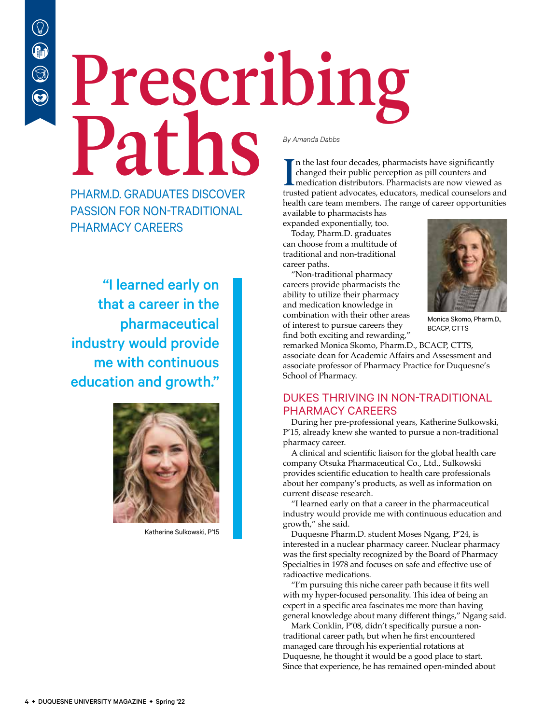## Prescribing Paths *By Amanda Dabbs*

PHARM.D. GRADUATES DISCOVER PASSION FOR NON-TRADITIONAL PHARMACY CAREERS

"I learned early on that a career in the pharmaceutical industry would provide me with continuous education and growth."



Katherine Sulkowski, P'15

In the last four decades, pharmacists have significantly changed their public perception as pill counters and medication distributors. Pharmacists are now viewed as trusted patient advocates, educators, medical counselors n the last four decades, pharmacists have significantly changed their public perception as pill counters and medication distributors. Pharmacists are now viewed as health care team members. The range of career opportunities available to pharmacists has

expanded exponentially, too.

Today, Pharm.D. graduates can choose from a multitude of traditional and non-traditional career paths.

"Non-traditional pharmacy careers provide pharmacists the ability to utilize their pharmacy and medication knowledge in combination with their other areas of interest to pursue careers they find both exciting and rewarding,"



Monica Skomo, Pharm.D., BCACP, CTTS

remarked Monica Skomo, Pharm.D., BCACP, CTTS, associate dean for Academic Affairs and Assessment and associate professor of Pharmacy Practice for Duquesne's School of Pharmacy.

## DUKES THRIVING IN NON-TRADITIONAL PHARMACY CAREERS

During her pre-professional years, Katherine Sulkowski, P'15, already knew she wanted to pursue a non-traditional pharmacy career.

A clinical and scientific liaison for the global health care company Otsuka Pharmaceutical Co., Ltd., Sulkowski provides scientific education to health care professionals about her company's products, as well as information on current disease research.

"I learned early on that a career in the pharmaceutical industry would provide me with continuous education and growth," she said.

Duquesne Pharm.D. student Moses Ngang, P'24, is interested in a nuclear pharmacy career. Nuclear pharmacy was the first specialty recognized by the Board of Pharmacy Specialties in 1978 and focuses on safe and effective use of radioactive medications.

"I'm pursuing this niche career path because it fits well with my hyper-focused personality. This idea of being an expert in a specific area fascinates me more than having general knowledge about many different things," Ngang said.

Mark Conklin, P'08, didn't specifically pursue a nontraditional career path, but when he first encountered managed care through his experiential rotations at Duquesne, he thought it would be a good place to start. Since that experience, he has remained open-minded about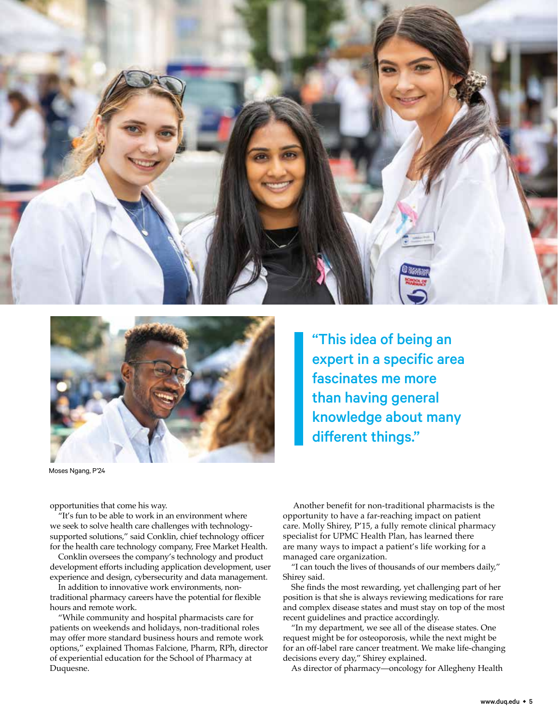



"This idea of being an expert in a specific area fascinates me more than having general knowledge about many different things."

Moses Ngang, P'24

opportunities that come his way.

"It's fun to be able to work in an environment where we seek to solve health care challenges with technologysupported solutions," said Conklin, chief technology officer for the health care technology company, Free Market Health.

Conklin oversees the company's technology and product development efforts including application development, user experience and design, cybersecurity and data management.

In addition to innovative work environments, nontraditional pharmacy careers have the potential for flexible hours and remote work.

"While community and hospital pharmacists care for patients on weekends and holidays, non-traditional roles may offer more standard business hours and remote work options," explained Thomas Falcione, Pharm, RPh, director of experiential education for the School of Pharmacy at Duquesne.

 Another benefit for non-traditional pharmacists is the opportunity to have a far-reaching impact on patient care. Molly Shirey, P'15, a fully remote clinical pharmacy specialist for UPMC Health Plan, has learned there are many ways to impact a patient's life working for a managed care organization.

"I can touch the lives of thousands of our members daily," Shirey said.

She finds the most rewarding, yet challenging part of her position is that she is always reviewing medications for rare and complex disease states and must stay on top of the most recent guidelines and practice accordingly.

"In my department, we see all of the disease states. One request might be for osteoporosis, while the next might be for an off-label rare cancer treatment. We make life-changing decisions every day," Shirey explained.

As director of pharmacy—oncology for Allegheny Health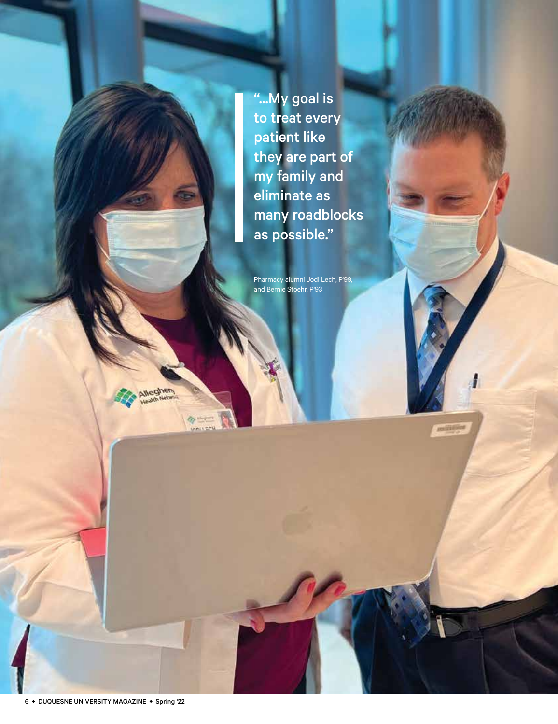"...My goal is to treat every patient like they are part of my family and eliminate as many roadblocks as possible."

Pharmacy alumni Jodi Lech, P'99, and Bernie Stoehr, P'93

**REGISTER** 



ô,